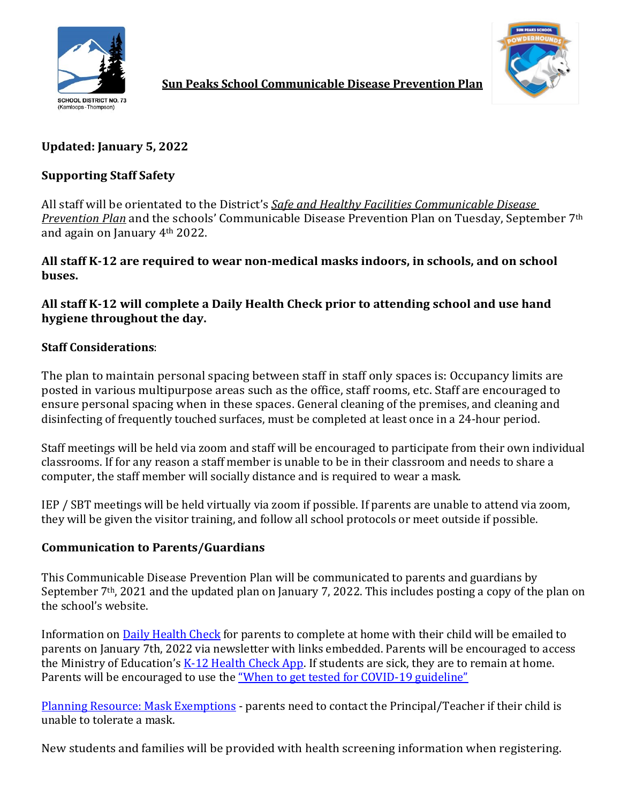



**Sun Peaks School Communicable Disease Prevention Plan**

# **Updated: January 5, 2022**

## **Supporting Staff Safety**

All staff will be orientated to the District's *Safe and Healthy Facilities Communicable Disease Prevention Plan* and the schools' Communicable Disease Prevention Plan on Tuesday, September 7th and again on January 4th 2022.

## **All staff K-12 are required to wear non-medical masks indoors, in schools, and on school buses.**

**All staff K-12 will complete a Daily Health Check prior to attending school and use hand hygiene throughout the day.** 

## **Staff Considerations**:

The plan to maintain personal spacing between staff in staff only spaces is: Occupancy limits are posted in various multipurpose areas such as the office, staff rooms, etc. Staff are encouraged to ensure personal spacing when in these spaces. General cleaning of the premises, and cleaning and disinfecting of frequently touched surfaces, must be completed at least once in a 24-hour period.

Staff meetings will be held via zoom and staff will be encouraged to participate from their own individual classrooms. If for any reason a staff member is unable to be in their classroom and needs to share a computer, the staff member will socially distance and is required to wear a mask.

IEP / SBT meetings will be held virtually via zoom if possible. If parents are unable to attend via zoom, they will be given the visitor training, and follow all school protocols or meet outside if possible.

## **Communication to Parents/Guardians**

This Communicable Disease Prevention Plan will be communicated to parents and guardians by September 7<sup>th</sup>, 2021 and the updated plan on January 7, 2022. This includes posting a copy of the plan on the school's website.

Information on **Daily Health Check** for parents to complete at home with their child will be emailed to parents on January 7th, 2022 via newsletter with links embedded. Parents will be encouraged to access the Ministry of Education's  $K-12$  Health Check App. If students are sick, they are to remain at home. Parents will be encouraged to use the ["When to get tested for COVID-19 guideline"](http://www.bccdc.ca/Health-Info-Site/Documents/COVID_public_guidance/When_to_get_tested.pdf)

[Planning Resource: Mask Exemptions](https://www2.gov.bc.ca/assets/gov/education/administration/kindergarten-to-grade-12/safe-caring-orderly/covid-19-planning-mask-exemptions.pdf) - parents need to contact the Principal/Teacher if their child is unable to tolerate a mask.

New students and families will be provided with health screening information when registering.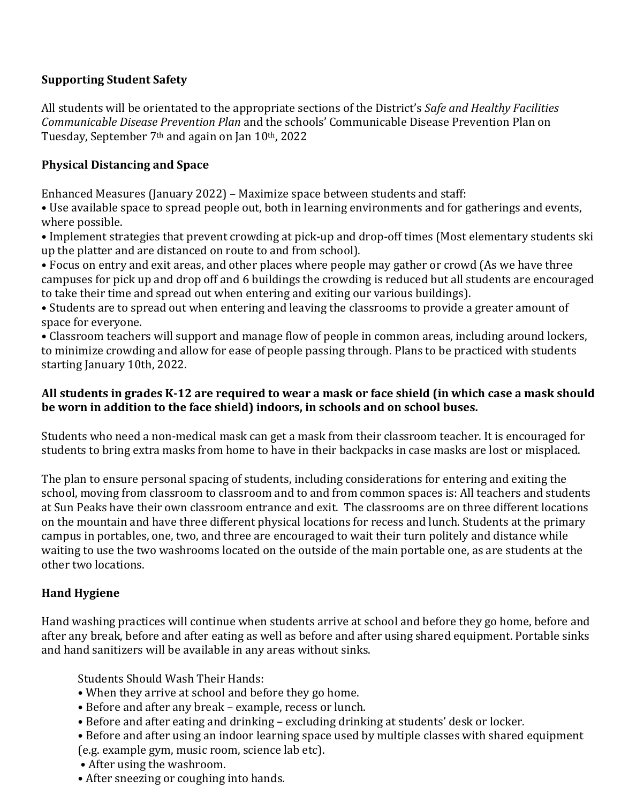## **Supporting Student Safety**

All students will be orientated to the appropriate sections of the District's *Safe and Healthy Facilities Communicable Disease Prevention Plan* and the schools' Communicable Disease Prevention Plan on Tuesday, September 7th and again on Jan 10th, 2022

## **Physical Distancing and Space**

Enhanced Measures (January 2022) – Maximize space between students and staff:

• Use available space to spread people out, both in learning environments and for gatherings and events, where possible.

• Implement strategies that prevent crowding at pick-up and drop-off times (Most elementary students ski up the platter and are distanced on route to and from school).

• Focus on entry and exit areas, and other places where people may gather or crowd (As we have three campuses for pick up and drop off and 6 buildings the crowding is reduced but all students are encouraged to take their time and spread out when entering and exiting our various buildings).

• Students are to spread out when entering and leaving the classrooms to provide a greater amount of space for everyone.

• Classroom teachers will support and manage flow of people in common areas, including around lockers, to minimize crowding and allow for ease of people passing through. Plans to be practiced with students starting January 10th, 2022.

## **All students in grades K-12 are required to wear a mask or face shield (in which case a mask should be worn in addition to the face shield) indoors, in schools and on school buses.**

Students who need a non-medical mask can get a mask from their classroom teacher. It is encouraged for students to bring extra masks from home to have in their backpacks in case masks are lost or misplaced.

The plan to ensure personal spacing of students, including considerations for entering and exiting the school, moving from classroom to classroom and to and from common spaces is: All teachers and students at Sun Peaks have their own classroom entrance and exit. The classrooms are on three different locations on the mountain and have three different physical locations for recess and lunch. Students at the primary campus in portables, one, two, and three are encouraged to wait their turn politely and distance while waiting to use the two washrooms located on the outside of the main portable one, as are students at the other two locations.

# **Hand Hygiene**

Hand washing practices will continue when students arrive at school and before they go home, before and after any break, before and after eating as well as before and after using shared equipment. Portable sinks and hand sanitizers will be available in any areas without sinks.

Students Should Wash Their Hands:

- When they arrive at school and before they go home.
- Before and after any break example, recess or lunch.
- Before and after eating and drinking excluding drinking at students' desk or locker.

• Before and after using an indoor learning space used by multiple classes with shared equipment (e.g. example gym, music room, science lab etc).

- After using the washroom.
- After sneezing or coughing into hands.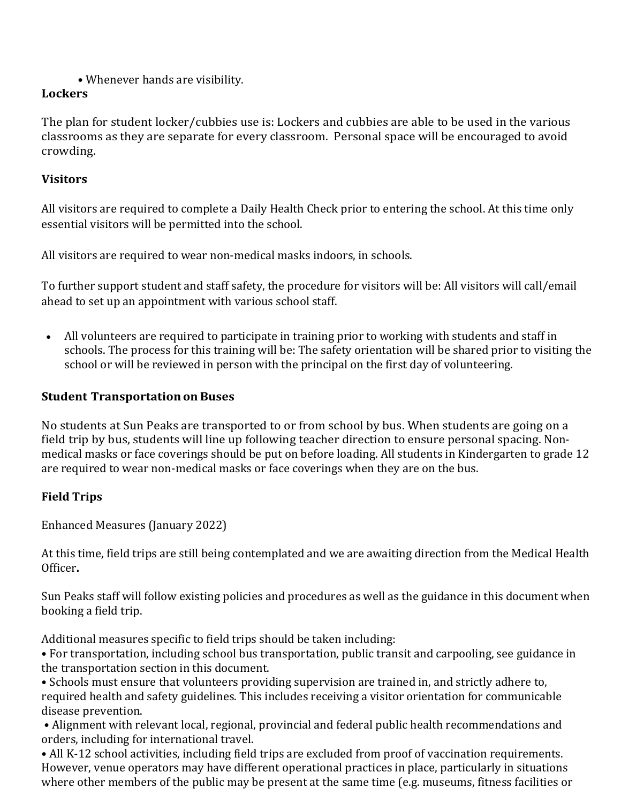• Whenever hands are visibility.

# **Lockers**

The plan for student locker/cubbies use is: Lockers and cubbies are able to be used in the various classrooms as they are separate for every classroom. Personal space will be encouraged to avoid crowding.

# **Visitors**

All visitors are required to complete a Daily Health Check prior to entering the school. At this time only essential visitors will be permitted into the school.

All visitors are required to wear non-medical masks indoors, in schools.

To further support student and staff safety, the procedure for visitors will be: All visitors will call/email ahead to set up an appointment with various school staff.

• All volunteers are required to participate in training prior to working with students and staff in schools. The process for this training will be: The safety orientation will be shared prior to visiting the school or will be reviewed in person with the principal on the first day of volunteering.

# **Student Transportation on Buses**

No students at Sun Peaks are transported to or from school by bus. When students are going on a field trip by bus, students will line up following teacher direction to ensure personal spacing. Nonmedical masks or face coverings should be put on before loading. All students in Kindergarten to grade 12 are required to wear non-medical masks or face coverings when they are on the bus.

# **Field Trips**

Enhanced Measures (January 2022)

At this time, field trips are still being contemplated and we are awaiting direction from the Medical Health Officer**.**

Sun Peaks staff will follow existing policies and procedures as well as the guidance in this document when booking a field trip.

Additional measures specific to field trips should be taken including:

• For transportation, including school bus transportation, public transit and carpooling, see guidance in the transportation section in this document.

• Schools must ensure that volunteers providing supervision are trained in, and strictly adhere to, required health and safety guidelines. This includes receiving a visitor orientation for communicable disease prevention.

• Alignment with relevant local, regional, provincial and federal public health recommendations and orders, including for international travel.

• All K-12 school activities, including field trips are excluded from proof of vaccination requirements. However, venue operators may have different operational practices in place, particularly in situations where other members of the public may be present at the same time (e.g. museums, fitness facilities or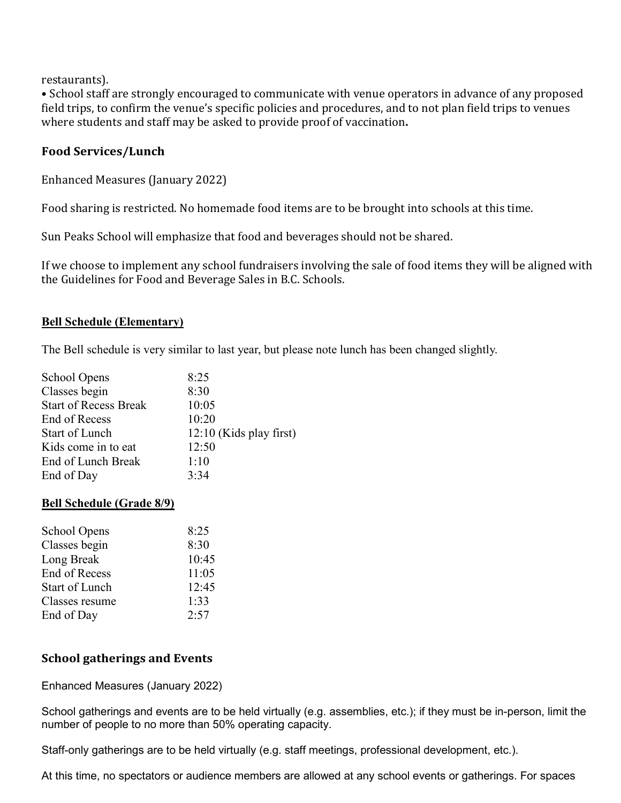restaurants).

• School staff are strongly encouraged to communicate with venue operators in advance of any proposed field trips, to confirm the venue's specific policies and procedures, and to not plan field trips to venues where students and staff may be asked to provide proof of vaccination**.**

#### **Food Services/Lunch**

Enhanced Measures (January 2022)

Food sharing is restricted. No homemade food items are to be brought into schools at this time.

Sun Peaks School will emphasize that food and beverages should not be shared.

If we choose to implement any school fundraisers involving the sale of food items they will be aligned with the Guidelines for Food and Beverage Sales in B.C. Schools.

#### **Bell Schedule (Elementary)**

The Bell schedule is very similar to last year, but please note lunch has been changed slightly.

| School Opens                 | 8:25                      |
|------------------------------|---------------------------|
| Classes begin                | 8:30                      |
| <b>Start of Recess Break</b> | 10:05                     |
| End of Recess                | 10:20                     |
| <b>Start of Lunch</b>        | $12:10$ (Kids play first) |
| Kids come in to eat          | 12:50                     |
| End of Lunch Break           | 1:10                      |
| End of Day                   | 3:34                      |
|                              |                           |

#### **Bell Schedule (Grade 8/9)**

| 8:25  |
|-------|
| 8:30  |
| 10:45 |
| 11:05 |
| 12:45 |
| 1:33  |
| 2:57  |
|       |

#### **School gatherings and Events**

Enhanced Measures (January 2022)

School gatherings and events are to be held virtually (e.g. assemblies, etc.); if they must be in-person, limit the number of people to no more than 50% operating capacity.

Staff-only gatherings are to be held virtually (e.g. staff meetings, professional development, etc.).

At this time, no spectators or audience members are allowed at any school events or gatherings. For spaces